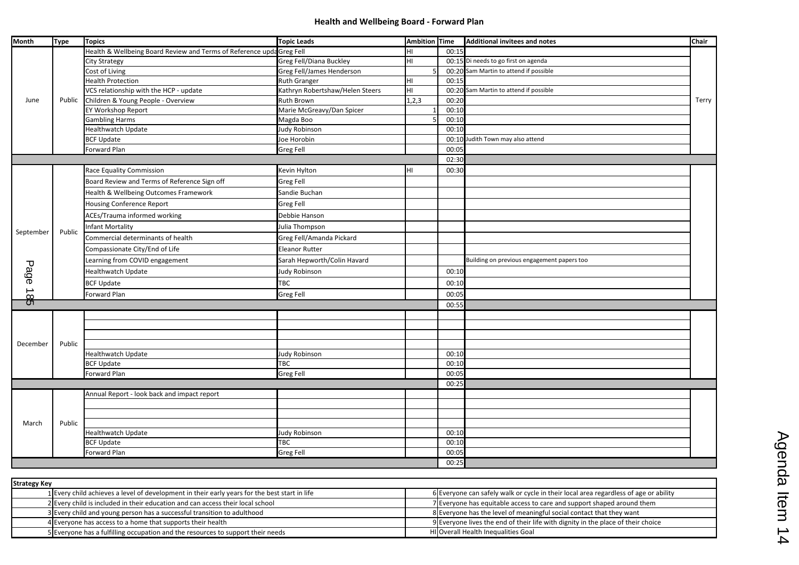## **Health and Wellbeing Board - Forward Plan**

Agenda Item 14 Agenda Item 14

| Health & Wellbeing Board Review and Terms of Reference upda Greg Fell<br>00:15<br>HI<br>Greg Fell/Diana Buckley<br>00:15 Di needs to go first on agenda<br>HI<br><b>City Strategy</b><br>00:20 Sam Martin to attend if possible<br><b>Greg Fell/James Henderson</b><br>Cost of Living<br><b>Health Protection</b><br>00:15<br><b>Ruth Granger</b><br>HI<br>VCS relationship with the HCP - update<br>Kathryn Robertshaw/Helen Steers<br>00:20 Sam Martin to attend if possible<br>HL<br>Children & Young People - Overview<br>Ruth Brown<br>1, 2, 3<br>00:20<br>Public<br>June<br>Marie McGreavy/Dan Spicer<br>EY Workshop Report<br>00:10<br>00:10<br><b>Gambling Harms</b><br>Magda Boo<br>Healthwatch Update<br>00:10<br>Judy Robinson<br>00:10 Judith Town may also attend<br><b>BCF Update</b><br>Joe Horobin<br>Forward Plan<br><b>Greg Fell</b><br>00:05<br>02:30<br><b>Race Equality Commission</b><br>Kevin Hylton<br>00:30<br>HІ<br>Board Review and Terms of Reference Sign off<br>Greg Fell<br>Health & Wellbeing Outcomes Framework<br>Sandie Buchan<br><b>Housing Conference Report</b><br>Greg Fell<br><b>ACEs/Trauma informed working</b><br>Debbie Hanson<br><b>Infant Mortality</b><br>Julia Thompson<br>Public<br>September<br>Commercial determinants of health<br>Greg Fell/Amanda Pickard<br>Compassionate City/End of Life<br><b>Eleanor Rutter</b><br>Learning from COVID engagement<br>Sarah Hepworth/Colin Havard<br>Building on previous engagement papers too<br>Page<br>Healthwatch Update<br>Judy Robinson<br>00:10<br><b>BCF Update</b><br>TBC<br>00:10<br>→<br>Forward Plan<br>00:05<br><b>Greg Fell</b><br>$\infty$<br><u>ਾ</u><br>00:55<br>Public<br>December<br>00:10<br><b>Healthwatch Update</b><br>Judy Robinson<br>TBC<br>00:10<br><b>BCF Update</b><br>Forward Plan<br><b>Greg Fell</b><br>00:05<br>00:25<br>Annual Report - look back and impact report<br>Public<br>March<br><b>Healthwatch Update</b><br>Judy Robinson<br>00:10<br>00:10<br><b>BCF Update</b><br>TBC<br><b>Greg Fell</b><br>Forward Plan<br>00:05<br>00:25 | <b>Month</b> | <b>Type</b> | <b>Topics</b> | <b>Topic Leads</b> | Ambition Time | <b>Additional invitees and notes</b> | Chair |
|-----------------------------------------------------------------------------------------------------------------------------------------------------------------------------------------------------------------------------------------------------------------------------------------------------------------------------------------------------------------------------------------------------------------------------------------------------------------------------------------------------------------------------------------------------------------------------------------------------------------------------------------------------------------------------------------------------------------------------------------------------------------------------------------------------------------------------------------------------------------------------------------------------------------------------------------------------------------------------------------------------------------------------------------------------------------------------------------------------------------------------------------------------------------------------------------------------------------------------------------------------------------------------------------------------------------------------------------------------------------------------------------------------------------------------------------------------------------------------------------------------------------------------------------------------------------------------------------------------------------------------------------------------------------------------------------------------------------------------------------------------------------------------------------------------------------------------------------------------------------------------------------------------------------------------------------------------------------------------------------------------------------------------------------------------------------------|--------------|-------------|---------------|--------------------|---------------|--------------------------------------|-------|
|                                                                                                                                                                                                                                                                                                                                                                                                                                                                                                                                                                                                                                                                                                                                                                                                                                                                                                                                                                                                                                                                                                                                                                                                                                                                                                                                                                                                                                                                                                                                                                                                                                                                                                                                                                                                                                                                                                                                                                                                                                                                       |              |             |               |                    |               |                                      |       |
|                                                                                                                                                                                                                                                                                                                                                                                                                                                                                                                                                                                                                                                                                                                                                                                                                                                                                                                                                                                                                                                                                                                                                                                                                                                                                                                                                                                                                                                                                                                                                                                                                                                                                                                                                                                                                                                                                                                                                                                                                                                                       |              |             |               |                    |               |                                      |       |
|                                                                                                                                                                                                                                                                                                                                                                                                                                                                                                                                                                                                                                                                                                                                                                                                                                                                                                                                                                                                                                                                                                                                                                                                                                                                                                                                                                                                                                                                                                                                                                                                                                                                                                                                                                                                                                                                                                                                                                                                                                                                       |              |             |               |                    |               |                                      |       |
|                                                                                                                                                                                                                                                                                                                                                                                                                                                                                                                                                                                                                                                                                                                                                                                                                                                                                                                                                                                                                                                                                                                                                                                                                                                                                                                                                                                                                                                                                                                                                                                                                                                                                                                                                                                                                                                                                                                                                                                                                                                                       |              |             |               |                    |               |                                      |       |
|                                                                                                                                                                                                                                                                                                                                                                                                                                                                                                                                                                                                                                                                                                                                                                                                                                                                                                                                                                                                                                                                                                                                                                                                                                                                                                                                                                                                                                                                                                                                                                                                                                                                                                                                                                                                                                                                                                                                                                                                                                                                       |              |             |               |                    |               |                                      |       |
|                                                                                                                                                                                                                                                                                                                                                                                                                                                                                                                                                                                                                                                                                                                                                                                                                                                                                                                                                                                                                                                                                                                                                                                                                                                                                                                                                                                                                                                                                                                                                                                                                                                                                                                                                                                                                                                                                                                                                                                                                                                                       |              |             |               |                    |               |                                      | Teri  |
|                                                                                                                                                                                                                                                                                                                                                                                                                                                                                                                                                                                                                                                                                                                                                                                                                                                                                                                                                                                                                                                                                                                                                                                                                                                                                                                                                                                                                                                                                                                                                                                                                                                                                                                                                                                                                                                                                                                                                                                                                                                                       |              |             |               |                    |               |                                      |       |
|                                                                                                                                                                                                                                                                                                                                                                                                                                                                                                                                                                                                                                                                                                                                                                                                                                                                                                                                                                                                                                                                                                                                                                                                                                                                                                                                                                                                                                                                                                                                                                                                                                                                                                                                                                                                                                                                                                                                                                                                                                                                       |              |             |               |                    |               |                                      |       |
|                                                                                                                                                                                                                                                                                                                                                                                                                                                                                                                                                                                                                                                                                                                                                                                                                                                                                                                                                                                                                                                                                                                                                                                                                                                                                                                                                                                                                                                                                                                                                                                                                                                                                                                                                                                                                                                                                                                                                                                                                                                                       |              |             |               |                    |               |                                      |       |
|                                                                                                                                                                                                                                                                                                                                                                                                                                                                                                                                                                                                                                                                                                                                                                                                                                                                                                                                                                                                                                                                                                                                                                                                                                                                                                                                                                                                                                                                                                                                                                                                                                                                                                                                                                                                                                                                                                                                                                                                                                                                       |              |             |               |                    |               |                                      |       |
|                                                                                                                                                                                                                                                                                                                                                                                                                                                                                                                                                                                                                                                                                                                                                                                                                                                                                                                                                                                                                                                                                                                                                                                                                                                                                                                                                                                                                                                                                                                                                                                                                                                                                                                                                                                                                                                                                                                                                                                                                                                                       |              |             |               |                    |               |                                      |       |
|                                                                                                                                                                                                                                                                                                                                                                                                                                                                                                                                                                                                                                                                                                                                                                                                                                                                                                                                                                                                                                                                                                                                                                                                                                                                                                                                                                                                                                                                                                                                                                                                                                                                                                                                                                                                                                                                                                                                                                                                                                                                       |              |             |               |                    |               |                                      |       |
|                                                                                                                                                                                                                                                                                                                                                                                                                                                                                                                                                                                                                                                                                                                                                                                                                                                                                                                                                                                                                                                                                                                                                                                                                                                                                                                                                                                                                                                                                                                                                                                                                                                                                                                                                                                                                                                                                                                                                                                                                                                                       |              |             |               |                    |               |                                      |       |
|                                                                                                                                                                                                                                                                                                                                                                                                                                                                                                                                                                                                                                                                                                                                                                                                                                                                                                                                                                                                                                                                                                                                                                                                                                                                                                                                                                                                                                                                                                                                                                                                                                                                                                                                                                                                                                                                                                                                                                                                                                                                       |              |             |               |                    |               |                                      |       |
|                                                                                                                                                                                                                                                                                                                                                                                                                                                                                                                                                                                                                                                                                                                                                                                                                                                                                                                                                                                                                                                                                                                                                                                                                                                                                                                                                                                                                                                                                                                                                                                                                                                                                                                                                                                                                                                                                                                                                                                                                                                                       |              |             |               |                    |               |                                      |       |
|                                                                                                                                                                                                                                                                                                                                                                                                                                                                                                                                                                                                                                                                                                                                                                                                                                                                                                                                                                                                                                                                                                                                                                                                                                                                                                                                                                                                                                                                                                                                                                                                                                                                                                                                                                                                                                                                                                                                                                                                                                                                       |              |             |               |                    |               |                                      |       |
|                                                                                                                                                                                                                                                                                                                                                                                                                                                                                                                                                                                                                                                                                                                                                                                                                                                                                                                                                                                                                                                                                                                                                                                                                                                                                                                                                                                                                                                                                                                                                                                                                                                                                                                                                                                                                                                                                                                                                                                                                                                                       |              |             |               |                    |               |                                      |       |
|                                                                                                                                                                                                                                                                                                                                                                                                                                                                                                                                                                                                                                                                                                                                                                                                                                                                                                                                                                                                                                                                                                                                                                                                                                                                                                                                                                                                                                                                                                                                                                                                                                                                                                                                                                                                                                                                                                                                                                                                                                                                       |              |             |               |                    |               |                                      |       |
|                                                                                                                                                                                                                                                                                                                                                                                                                                                                                                                                                                                                                                                                                                                                                                                                                                                                                                                                                                                                                                                                                                                                                                                                                                                                                                                                                                                                                                                                                                                                                                                                                                                                                                                                                                                                                                                                                                                                                                                                                                                                       |              |             |               |                    |               |                                      |       |
|                                                                                                                                                                                                                                                                                                                                                                                                                                                                                                                                                                                                                                                                                                                                                                                                                                                                                                                                                                                                                                                                                                                                                                                                                                                                                                                                                                                                                                                                                                                                                                                                                                                                                                                                                                                                                                                                                                                                                                                                                                                                       |              |             |               |                    |               |                                      |       |
|                                                                                                                                                                                                                                                                                                                                                                                                                                                                                                                                                                                                                                                                                                                                                                                                                                                                                                                                                                                                                                                                                                                                                                                                                                                                                                                                                                                                                                                                                                                                                                                                                                                                                                                                                                                                                                                                                                                                                                                                                                                                       |              |             |               |                    |               |                                      |       |
|                                                                                                                                                                                                                                                                                                                                                                                                                                                                                                                                                                                                                                                                                                                                                                                                                                                                                                                                                                                                                                                                                                                                                                                                                                                                                                                                                                                                                                                                                                                                                                                                                                                                                                                                                                                                                                                                                                                                                                                                                                                                       |              |             |               |                    |               |                                      |       |
|                                                                                                                                                                                                                                                                                                                                                                                                                                                                                                                                                                                                                                                                                                                                                                                                                                                                                                                                                                                                                                                                                                                                                                                                                                                                                                                                                                                                                                                                                                                                                                                                                                                                                                                                                                                                                                                                                                                                                                                                                                                                       |              |             |               |                    |               |                                      |       |
|                                                                                                                                                                                                                                                                                                                                                                                                                                                                                                                                                                                                                                                                                                                                                                                                                                                                                                                                                                                                                                                                                                                                                                                                                                                                                                                                                                                                                                                                                                                                                                                                                                                                                                                                                                                                                                                                                                                                                                                                                                                                       |              |             |               |                    |               |                                      |       |
|                                                                                                                                                                                                                                                                                                                                                                                                                                                                                                                                                                                                                                                                                                                                                                                                                                                                                                                                                                                                                                                                                                                                                                                                                                                                                                                                                                                                                                                                                                                                                                                                                                                                                                                                                                                                                                                                                                                                                                                                                                                                       |              |             |               |                    |               |                                      |       |
|                                                                                                                                                                                                                                                                                                                                                                                                                                                                                                                                                                                                                                                                                                                                                                                                                                                                                                                                                                                                                                                                                                                                                                                                                                                                                                                                                                                                                                                                                                                                                                                                                                                                                                                                                                                                                                                                                                                                                                                                                                                                       |              |             |               |                    |               |                                      |       |
|                                                                                                                                                                                                                                                                                                                                                                                                                                                                                                                                                                                                                                                                                                                                                                                                                                                                                                                                                                                                                                                                                                                                                                                                                                                                                                                                                                                                                                                                                                                                                                                                                                                                                                                                                                                                                                                                                                                                                                                                                                                                       |              |             |               |                    |               |                                      |       |
|                                                                                                                                                                                                                                                                                                                                                                                                                                                                                                                                                                                                                                                                                                                                                                                                                                                                                                                                                                                                                                                                                                                                                                                                                                                                                                                                                                                                                                                                                                                                                                                                                                                                                                                                                                                                                                                                                                                                                                                                                                                                       |              |             |               |                    |               |                                      |       |
|                                                                                                                                                                                                                                                                                                                                                                                                                                                                                                                                                                                                                                                                                                                                                                                                                                                                                                                                                                                                                                                                                                                                                                                                                                                                                                                                                                                                                                                                                                                                                                                                                                                                                                                                                                                                                                                                                                                                                                                                                                                                       |              |             |               |                    |               |                                      |       |
|                                                                                                                                                                                                                                                                                                                                                                                                                                                                                                                                                                                                                                                                                                                                                                                                                                                                                                                                                                                                                                                                                                                                                                                                                                                                                                                                                                                                                                                                                                                                                                                                                                                                                                                                                                                                                                                                                                                                                                                                                                                                       |              |             |               |                    |               |                                      |       |
|                                                                                                                                                                                                                                                                                                                                                                                                                                                                                                                                                                                                                                                                                                                                                                                                                                                                                                                                                                                                                                                                                                                                                                                                                                                                                                                                                                                                                                                                                                                                                                                                                                                                                                                                                                                                                                                                                                                                                                                                                                                                       |              |             |               |                    |               |                                      |       |
|                                                                                                                                                                                                                                                                                                                                                                                                                                                                                                                                                                                                                                                                                                                                                                                                                                                                                                                                                                                                                                                                                                                                                                                                                                                                                                                                                                                                                                                                                                                                                                                                                                                                                                                                                                                                                                                                                                                                                                                                                                                                       |              |             |               |                    |               |                                      |       |
|                                                                                                                                                                                                                                                                                                                                                                                                                                                                                                                                                                                                                                                                                                                                                                                                                                                                                                                                                                                                                                                                                                                                                                                                                                                                                                                                                                                                                                                                                                                                                                                                                                                                                                                                                                                                                                                                                                                                                                                                                                                                       |              |             |               |                    |               |                                      |       |
|                                                                                                                                                                                                                                                                                                                                                                                                                                                                                                                                                                                                                                                                                                                                                                                                                                                                                                                                                                                                                                                                                                                                                                                                                                                                                                                                                                                                                                                                                                                                                                                                                                                                                                                                                                                                                                                                                                                                                                                                                                                                       |              |             |               |                    |               |                                      |       |
|                                                                                                                                                                                                                                                                                                                                                                                                                                                                                                                                                                                                                                                                                                                                                                                                                                                                                                                                                                                                                                                                                                                                                                                                                                                                                                                                                                                                                                                                                                                                                                                                                                                                                                                                                                                                                                                                                                                                                                                                                                                                       |              |             |               |                    |               |                                      |       |
|                                                                                                                                                                                                                                                                                                                                                                                                                                                                                                                                                                                                                                                                                                                                                                                                                                                                                                                                                                                                                                                                                                                                                                                                                                                                                                                                                                                                                                                                                                                                                                                                                                                                                                                                                                                                                                                                                                                                                                                                                                                                       |              |             |               |                    |               |                                      |       |
|                                                                                                                                                                                                                                                                                                                                                                                                                                                                                                                                                                                                                                                                                                                                                                                                                                                                                                                                                                                                                                                                                                                                                                                                                                                                                                                                                                                                                                                                                                                                                                                                                                                                                                                                                                                                                                                                                                                                                                                                                                                                       |              |             |               |                    |               |                                      |       |
|                                                                                                                                                                                                                                                                                                                                                                                                                                                                                                                                                                                                                                                                                                                                                                                                                                                                                                                                                                                                                                                                                                                                                                                                                                                                                                                                                                                                                                                                                                                                                                                                                                                                                                                                                                                                                                                                                                                                                                                                                                                                       |              |             |               |                    |               |                                      |       |
|                                                                                                                                                                                                                                                                                                                                                                                                                                                                                                                                                                                                                                                                                                                                                                                                                                                                                                                                                                                                                                                                                                                                                                                                                                                                                                                                                                                                                                                                                                                                                                                                                                                                                                                                                                                                                                                                                                                                                                                                                                                                       |              |             |               |                    |               |                                      |       |
|                                                                                                                                                                                                                                                                                                                                                                                                                                                                                                                                                                                                                                                                                                                                                                                                                                                                                                                                                                                                                                                                                                                                                                                                                                                                                                                                                                                                                                                                                                                                                                                                                                                                                                                                                                                                                                                                                                                                                                                                                                                                       |              |             |               |                    |               |                                      |       |

|                           | Chair |
|---------------------------|-------|
|                           |       |
|                           |       |
|                           |       |
|                           |       |
|                           |       |
|                           |       |
|                           | Terry |
|                           |       |
|                           |       |
|                           |       |
|                           |       |
|                           |       |
|                           |       |
|                           |       |
|                           |       |
|                           |       |
|                           |       |
|                           |       |
|                           |       |
|                           |       |
|                           |       |
|                           |       |
|                           |       |
|                           |       |
|                           |       |
|                           |       |
|                           |       |
|                           |       |
|                           |       |
|                           |       |
|                           |       |
|                           |       |
|                           |       |
|                           |       |
|                           |       |
|                           |       |
|                           |       |
|                           |       |
|                           |       |
|                           |       |
|                           |       |
|                           |       |
|                           |       |
|                           |       |
|                           |       |
|                           |       |
|                           |       |
|                           |       |
|                           |       |
|                           |       |
| ardless of age or ability |       |

| <b>Strategy Key</b>                                                                           |                                                                                      |  |  |  |  |
|-----------------------------------------------------------------------------------------------|--------------------------------------------------------------------------------------|--|--|--|--|
| 1 Every child achieves a level of development in their early years for the best start in life | 6 Everyone can safely walk or cycle in their local area regardless of age or ability |  |  |  |  |
| 2 Every child is included in their education and can access their local school                | 7 Everyone has equitable access to care and support shaped around them               |  |  |  |  |
| 3 Every child and young person has a successful transition to adulthood                       | 8 Everyone has the level of meaningful social contact that they want                 |  |  |  |  |
| 4 Everyone has access to a home that supports their health                                    | 9 Everyone lives the end of their life with dignity in the place of their choice     |  |  |  |  |
| 5 Everyone has a fulfilling occupation and the resources to support their needs               | HI Overall Health Inequalities Goal                                                  |  |  |  |  |